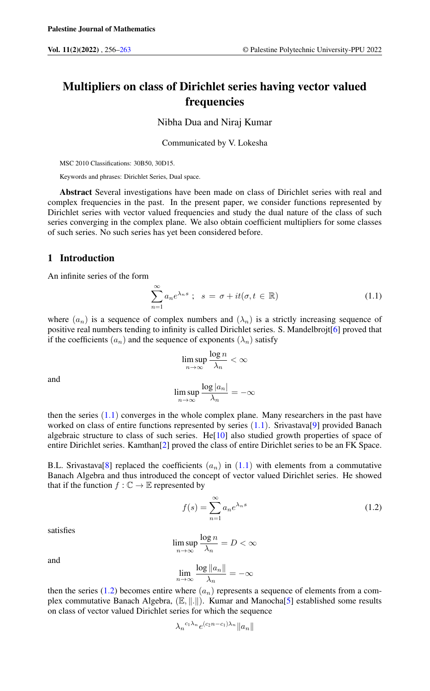# Multipliers on class of Dirichlet series having vector valued frequencies

Nibha Dua and Niraj Kumar

Communicated by V. Lokesha

MSC 2010 Classifications: 30B50, 30D15.

Keywords and phrases: Dirichlet Series, Dual space.

Abstract Several investigations have been made on class of Dirichlet series with real and complex frequencies in the past. In the present paper, we consider functions represented by Dirichlet series with vector valued frequencies and study the dual nature of the class of such series converging in the complex plane. We also obtain coefficient multipliers for some classes of such series. No such series has yet been considered before.

### 1 Introduction

An infinite series of the form

<span id="page-0-0"></span>
$$
\sum_{n=1}^{\infty} a_n e^{\lambda_n s} \; ; \; s = \sigma + it(\sigma, t \in \mathbb{R}) \tag{1.1}
$$

where  $(a_n)$  is a sequence of complex numbers and  $(\lambda_n)$  is a strictly increasing sequence of positive real numbers tending to infinity is called Dirichlet series. S. Mandelbrojt[\[6\]](#page-6-1) proved that if the coefficients  $(a_n)$  and the sequence of exponents  $(\lambda_n)$  satisfy

$$
\limsup_{n \to \infty} \frac{\log n}{\lambda_n} < \infty
$$

and

$$
\limsup_{n \to \infty} \frac{\log |a_n|}{\lambda_n} = -\infty
$$

then the series  $(1.1)$  $(1.1)$  $(1.1)$  converges in the whole complex plane. Many researchers in the past have worked on class of entire functions represented by series  $(1.1)$  $(1.1)$  $(1.1)$ . Srivastava[\[9\]](#page-7-0) provided Banach algebraic structure to class of such series. He[\[10\]](#page-7-1) also studied growth properties of space of entire Dirichlet series. Kamthan[\[2\]](#page-6-2) proved the class of entire Dirichlet series to be an FK Space.

B.L. Srivastava[\[8\]](#page-7-2) replaced the coefficients  $(a_n)$  in ([1](#page-0-0).1) with elements from a commutative Banach Algebra and thus introduced the concept of vector valued Dirichlet series. He showed that if the function  $f : \mathbb{C} \to \mathbb{E}$  represented by

<span id="page-0-1"></span>
$$
f(s) = \sum_{n=1}^{\infty} a_n e^{\lambda_n s} \tag{1.2}
$$

satisfies

$$
\limsup_{n \to \infty} \frac{\log n}{\lambda_n} = D < \infty
$$

and

$$
\lim_{n\to\infty}\frac{\log \|a_n\|}{\lambda_n}=-\infty
$$

then the series (1.[2\)](#page-0-1) becomes entire where  $(a_n)$  represents a sequence of elements from a complex commutative Banach Algebra,  $(E, \|\cdot\|)$ . Kumar and Manocha[\[5\]](#page-6-3) established some results on class of vector valued Dirichlet series for which the sequence

$$
\lambda_n^{c_1\lambda_n}e^{(c_2n-c_1)\lambda_n}\|a_n\|
$$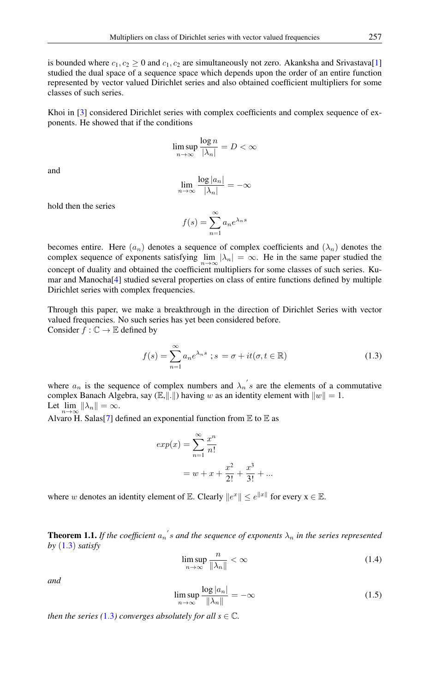is bounded where  $c_1, c_2 \ge 0$  and  $c_1, c_2$  are simultaneously not zero. Akanksha and Srivastava[\[1\]](#page-6-4) studied the dual space of a sequence space which depends upon the order of an entire function represented by vector valued Dirichlet series and also obtained coefficient multipliers for some classes of such series.

Khoi in [\[3\]](#page-6-5) considered Dirichlet series with complex coefficients and complex sequence of exponents. He showed that if the conditions

$$
\limsup_{n \to \infty} \frac{\log n}{|\lambda_n|} = D < \infty
$$

and

$$
\lim_{n \to \infty} \frac{\log |a_n|}{|\lambda_n|} = -\infty
$$

hold then the series

$$
f(s) = \sum_{n=1}^{\infty} a_n e^{\lambda_n s}
$$

becomes entire. Here  $(a_n)$  denotes a sequence of complex coefficients and  $(\lambda_n)$  denotes the complex sequence of exponents satisfying  $\lim_{n\to\infty} |\lambda_n| = \infty$ . He in the same paper studied the concept of duality and obtained the coefficient multipliers for some classes of such series. Kumar and Manocha[\[4\]](#page-6-6) studied several properties on class of entire functions defined by multiple Dirichlet series with complex frequencies.

Through this paper, we make a breakthrough in the direction of Dirichlet Series with vector valued frequencies. No such series has yet been considered before. Consider  $f : \mathbb{C} \to \mathbb{E}$  defined by

<span id="page-1-0"></span>
$$
f(s) = \sum_{n=1}^{\infty} a_n e^{\lambda_n s} \; ; s = \sigma + it(\sigma, t \in \mathbb{R}) \tag{1.3}
$$

where  $a_n$  is the sequence of complex numbers and  $\lambda_n$ 's are the elements of a commutative complex Banach Algebra, say  $(\mathbb{E},\Vert .\Vert)$  having w as an identity element with  $\Vert w \Vert = 1$ . Let  $\lim_{n\to\infty}$   $\|\lambda_n\| = \infty$ .

Alvaro H. Salas<sup>[\[7\]](#page-7-3)</sup> defined an exponential function from  $E$  to  $E$  as

$$
exp(x) = \sum_{n=1}^{\infty} \frac{x^n}{n!}
$$
  
=  $w + x + \frac{x^2}{2!} + \frac{x^3}{3!} + ...$ 

where w denotes an identity element of E. Clearly  $||e^x|| \le e^{||x||}$  for every  $x \in \mathbb{E}$ .

<span id="page-1-2"></span>**Theorem 1.1.** If the coefficient  $a_n$ 's and the sequence of exponents  $\lambda_n$  in the series represented *by* ([1](#page-1-0).3) *satisfy*

$$
\limsup_{n \to \infty} \frac{n}{\|\lambda_n\|} < \infty \tag{1.4}
$$

<span id="page-1-1"></span>*and*

$$
\limsup_{n \to \infty} \frac{\log |a_n|}{\|\lambda_n\|} = -\infty \tag{1.5}
$$

*then the series (1.[3](#page-1-0)) converges absolutely for all s*  $\in \mathbb{C}$ *.*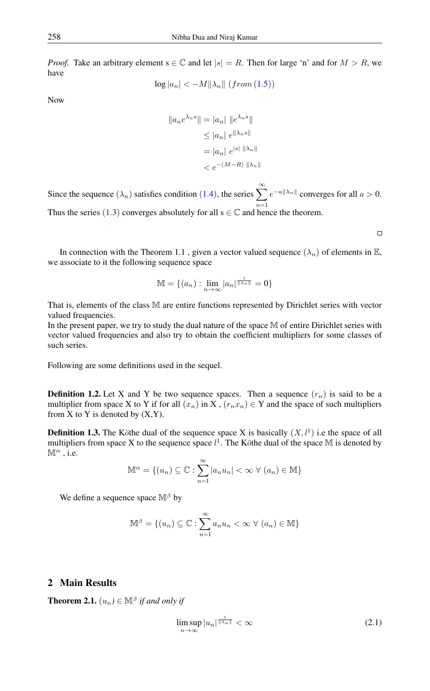*Proof.* Take an arbitrary element  $s \in \mathbb{C}$  and let  $|s| = R$ . Then for large 'n' and for  $M > R$ , we have

$$
\log|a_n| < -M \|\lambda_n\| \ (from \ (1.5))
$$

Now

$$
||a_n e^{\lambda_n s}|| = |a_n| ||e^{\lambda_n s}||
$$
  
\n
$$
\leq |a_n| e^{||\lambda_n s||}
$$
  
\n
$$
= |a_n| e^{|s| ||\lambda_n||}
$$
  
\n
$$
< e^{-(M-R) ||\lambda_n||}
$$

Since the sequence  $(\lambda_n)$  satisfies condition ([1](#page-1-2).4), the series  $\sum_{n=0}^{\infty} e^{-a||\lambda_n||}$  converges for all  $a > 0$ . Thus the series ([1](#page-1-0).3) converges absolutely for all  $s \in \mathbb{C}$  and hence the theorem.

 $\Box$ 

In connection with the Theorem 1.1, given a vector valued sequence  $(\lambda_n)$  of elements in E, we associate to it the following sequence space

$$
\mathbb{M} = \{(a_n) : \lim_{n \to \infty} |a_n|^{\frac{1}{\|\lambda_n\|}} = 0\}
$$

That is, elements of the class M are entire functions represented by Dirichlet series with vector valued frequencies.

In the present paper, we try to study the dual nature of the space M of entire Dirichlet series with vector valued frequencies and also try to obtain the coefficient multipliers for some classes of such series.

Following are some definitions used in the sequel.

**Definition 1.2.** Let X and Y be two sequence spaces. Then a sequence  $(r_n)$  is said to be a multiplier from space X to Y if for all  $(x_n)$  in X,  $(r_n x_n) \in Y$  and the space of such multipliers from X to Y is denoted by  $(X, Y)$ .

**Definition 1.3.** The Köthe dual of the sequence space X is basically  $(X, l<sup>1</sup>)$  i.e the space of all multipliers from space X to the sequence space  $l^1$ . The Köthe dual of the space M is denoted by  $\mathbb{M}^{\alpha}$ , i.e.

$$
\mathbb{M}^{\alpha} = \{(u_n) \subseteq \mathbb{C} : \sum_{n=1}^{\infty} |a_n u_n| < \infty \ \forall \ (a_n) \in \mathbb{M}\}\
$$

We define a sequence space  $\mathbb{M}^{\beta}$  by

$$
\mathbb{M}^{\beta} = \{(u_n) \subseteq \mathbb{C} : \sum_{n=1}^{\infty} a_n u_n < \infty \ \forall \ (a_n) \in \mathbb{M}\}\
$$

## 2 Main Results

**Theorem 2.1.**  $(u_n) \in \mathbb{M}^{\beta}$  *if and only if* 

<span id="page-2-0"></span>
$$
\limsup_{n \to \infty} |u_n|^{\frac{1}{\|\lambda_n\|}} < \infty \tag{2.1}
$$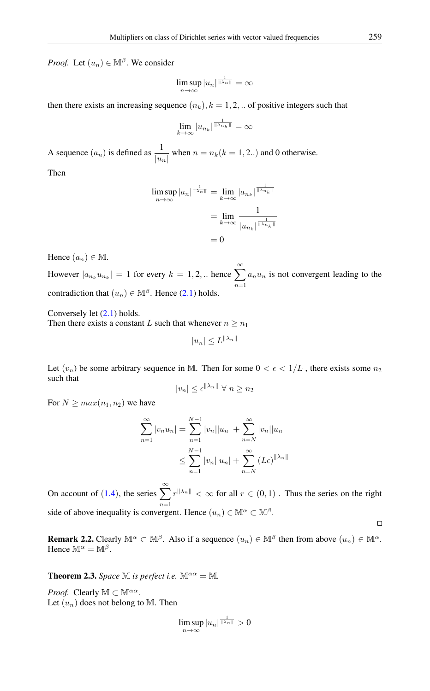*Proof.* Let  $(u_n) \in M^{\beta}$ . We consider

$$
\limsup_{n\to\infty} |u_n|^{\frac{1}{\|\lambda_n\|}} = \infty
$$

then there exists an increasing sequence  $(n_k)$ ,  $k = 1, 2, ...$  of positive integers such that

$$
\lim_{k \to \infty} |u_{n_k}|^{\frac{1}{\|\lambda_{n_k}\|}} = \infty
$$

A sequence  $(a_n)$  is defined as  $\frac{1}{|u_n|}$  when  $n = n_k(k = 1, 2...)$  and 0 otherwise.

Then

$$
\limsup_{n \to \infty} |a_n|^{\frac{1}{\|\lambda_n\|}} = \lim_{k \to \infty} |a_{n_k}|^{\frac{1}{\|\lambda_{n_k}\|}}
$$

$$
= \lim_{k \to \infty} \frac{1}{|u_{n_k}|^{\frac{1}{\|\lambda_{n_k}\|}}}
$$

$$
= 0
$$

Hence  $(a_n) \in \mathbb{M}$ .

However  $|a_{n_k} u_{n_k}| = 1$  for every  $k = 1, 2, ...$  hence  $\sum_{n=1}^{\infty}$  $n=1$  $a_nu_n$  is not convergent leading to the contradiction that  $(u_n) \in \mathbb{M}^{\beta}$ . Hence (2.[1\)](#page-2-0) holds.

Conversely let [\(2](#page-2-0).1) holds.

Then there exists a constant L such that whenever  $n \geq n_1$ 

 $|u_n| \leq L^{\|\lambda_n\|}$ 

Let  $(v_n)$  be some arbitrary sequence in M. Then for some  $0 < \epsilon < 1/L$ , there exists some  $n_2$ such that

$$
|v_n| \le \epsilon^{\|\lambda_n\|} \ \forall \ n \ge n_2
$$

For  $N \geq max(n_1, n_2)$  we have

$$
\sum_{n=1}^{\infty} |v_n u_n| = \sum_{n=1}^{N-1} |v_n| |u_n| + \sum_{n=N}^{\infty} |v_n| |u_n|
$$
  

$$
\leq \sum_{n=1}^{N-1} |v_n| |u_n| + \sum_{n=N}^{\infty} (L\epsilon)^{||\lambda_n||}
$$

On account of (1.[4](#page-1-2)), the series  $\sum_{n=1}^{\infty}$  $r^{\|\lambda_n\|} < \infty$  for all  $r \in (0,1)$ . Thus the series on the right  $n=1$ side of above inequality is convergent. Hence  $(u_n) \in \mathbb{M}^{\alpha} \subset \mathbb{M}^{\beta}$ .  $\Box$ 

**Remark 2.2.** Clearly  $\mathbb{M}^{\alpha} \subset \mathbb{M}^{\beta}$ . Also if a sequence  $(u_n) \in \mathbb{M}^{\beta}$  then from above  $(u_n) \in \mathbb{M}^{\alpha}$ . Hence  $\mathbb{M}^{\alpha} = \mathbb{M}^{\beta}$ .

**Theorem 2.3.** *Space*  $\mathbb{M}$  *is perfect i.e.*  $\mathbb{M}^{\alpha\alpha} = \mathbb{M}$ *.* 

*Proof.* Clearly  $M \subset M^{\alpha\alpha}$ . Let  $(u_n)$  does not belong to M. Then

$$
\limsup_{n\to\infty} |u_n|^{\frac{1}{\|\lambda_n\|}}>0
$$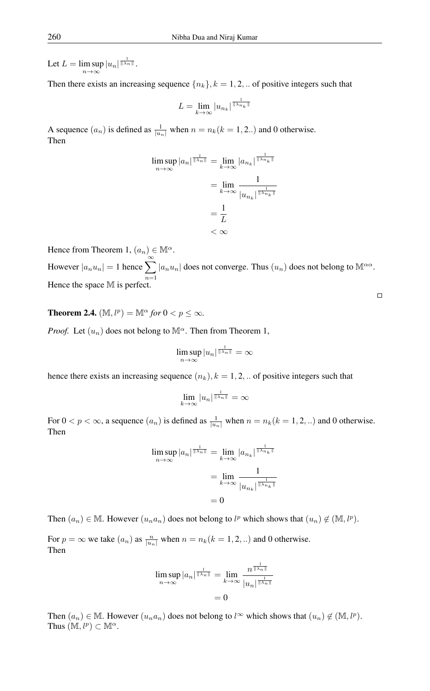Let  $L = \limsup |u_n|^{\frac{1}{\|\lambda_n\|}}$ .  $n\rightarrow\infty$ 

Then there exists an increasing sequence  $\{n_k\}$ ,  $k = 1, 2, \ldots$  of positive integers such that

$$
L = \lim_{k \to \infty} |u_{n_k}|^{\frac{1}{\|\lambda_{n_k}\|}}
$$

A sequence  $(a_n)$  is defined as  $\frac{1}{|u_n|}$  when  $n = n_k(k = 1, 2...)$  and 0 otherwise. Then

$$
\limsup_{n \to \infty} |a_n|^{\frac{1}{\|\lambda_n\|}} = \lim_{k \to \infty} |a_{n_k}|^{\frac{1}{\|\lambda_{n_k}\|}}
$$

$$
= \lim_{k \to \infty} \frac{1}{|u_{n_k}|^{\frac{1}{\|\lambda_{n_k}\|}}}
$$

$$
= \frac{1}{L}
$$

$$
< \infty
$$

Hence from Theorem 1,  $(a_n) \in M^{\alpha}$ . However  $|a_n u_n| = 1$  hence  $\sum_{n=1}^{\infty} |a_n u_n|$  does not converge. Thus  $(u_n)$  does not belong to  $\mathbb{M}^{\alpha\alpha}$ .  $n=1$ Hence the space M is perfect.

**Theorem 2.4.**  $(\mathbb{M}, l^p) = \mathbb{M}^\alpha$  for  $0 < p \leq \infty$ .

*Proof.* Let  $(u_n)$  does not belong to  $\mathbb{M}^{\alpha}$ . Then from Theorem 1,

$$
\limsup_{n\to\infty} |u_n|^{\frac{1}{\|\lambda_n\|}} = \infty
$$

hence there exists an increasing sequence  $(n_k)$ ,  $k = 1, 2, ...$  of positive integers such that

$$
\lim_{k \to \infty} |u_n|^{\frac{1}{\|\lambda_n\|}} = \infty
$$

For  $0 < p < \infty$ , a sequence  $(a_n)$  is defined as  $\frac{1}{|u_n|}$  when  $n = n_k (k = 1, 2, ...)$  and 0 otherwise. Then

$$
\limsup_{n \to \infty} |a_n|^{\frac{1}{\|\lambda_n\|}} = \lim_{k \to \infty} |a_{n_k}|^{\frac{1}{\|\lambda_{n_k}\|}}
$$

$$
= \lim_{k \to \infty} \frac{1}{|u_{n_k}|^{\frac{1}{\|\lambda_{n_k}\|}}}
$$

$$
= 0
$$

Then  $(a_n) \in \mathbb{M}$ . However  $(u_na_n)$  does not belong to  $l^p$  which shows that  $(u_n) \notin (\mathbb{M}, l^p)$ .

For  $p = \infty$  we take  $(a_n)$  as  $\frac{n}{|u_n|}$  when  $n = n_k(k = 1, 2, ...)$  and 0 otherwise. Then

$$
\limsup_{n \to \infty} |a_n|^{\frac{1}{\|\lambda_n\|}} = \lim_{k \to \infty} \frac{n^{\frac{1}{\|\lambda_n\|}}}{|u_n|^{\frac{1}{\|\lambda_n\|}}}
$$

$$
= 0
$$

Then  $(a_n) \in \mathbb{M}$ . However  $(u_na_n)$  does not belong to  $l^{\infty}$  which shows that  $(u_n) \notin (\mathbb{M}, l^p)$ . Thus  $(M, l^p) \subset M^{\alpha}$ .

 $\Box$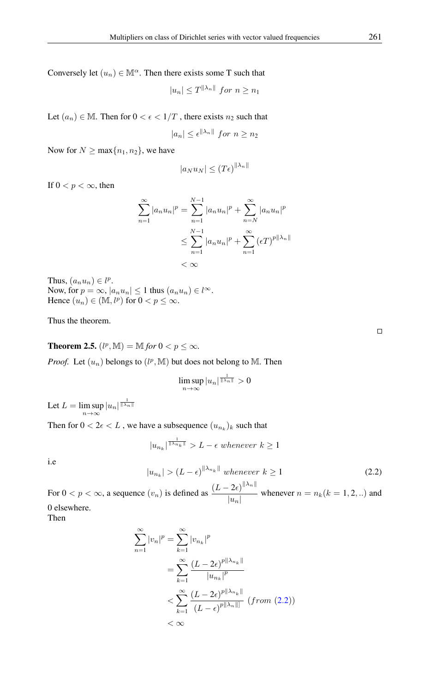Conversely let  $(u_n) \in M^{\alpha}$ . Then there exists some T such that

$$
|u_n| \le T^{\|\lambda_n\|} \text{ for } n \ge n_1
$$

Let  $(a_n) \in \mathbb{M}$ . Then for  $0 < \epsilon < 1/T$ , there exists  $n_2$  such that

$$
|a_n| \le \epsilon^{\|\lambda_n\|} \text{ for } n \ge n_2
$$

Now for  $N \ge \max\{n_1, n_2\}$ , we have

$$
|a_N u_N| \le (T\epsilon)^{\|\lambda_n\|}
$$

If  $0 < p < \infty$ , then

$$
\sum_{n=1}^{\infty} |a_n u_n|^p = \sum_{n=1}^{N-1} |a_n u_n|^p + \sum_{n=N}^{\infty} |a_n u_n|^p
$$
  

$$
\leq \sum_{n=1}^{N-1} |a_n u_n|^p + \sum_{n=1}^{\infty} (\epsilon T)^{p||\lambda_n||}
$$
  
<  $\infty$ 

Thus,  $(a_n u_n) \in l^p$ . Now, for  $p = \infty$ ,  $|a_n u_n| \leq 1$  thus  $(a_n u_n) \in l^{\infty}$ . Hence  $(u_n) \in (\mathbb{M}, l^p)$  for  $0 < p \leq \infty$ .

Thus the theorem.

**Theorem 2.5.**  $(l^p, M) = M$  *for*  $0 < p \le \infty$ *.* 

*Proof.* Let  $(u_n)$  belongs to  $(l^p, M)$  but does not belong to M. Then

$$
\limsup_{n\to\infty} |u_n|^{\frac{1}{\|\lambda_n\|}}>0
$$

Let  $L = \limsup_{n \to \infty} |u_n|^{\frac{1}{\|\lambda_n\|}}$ 

Then for  $0 < 2\epsilon < L$  , we have a subsequence  $(u_{n_k})_k$  such that

$$
|u_{n_k}|^{\frac{1}{\|\lambda_{n_k}\|}} > L - \epsilon \text{ whenever } k \ge 1
$$

<span id="page-5-0"></span>i.e

$$
|u_{n_k}| > (L - \epsilon)^{\|\lambda_{n_k}\|} \text{ whenever } k \ge 1
$$
 (2.2)

For  $0 < p < \infty$ , a sequence  $(v_n)$  is defined as  $\frac{(L - 2\epsilon)^{||\lambda_n||}}{||\lambda_n||}$  $\frac{2c}{|u_n|}$  whenever  $n = n_k(k = 1, 2, ...)$  and 0 elsewhere.

Then

$$
\sum_{n=1}^{\infty} |v_n|^p = \sum_{k=1}^{\infty} |v_{n_k}|^p
$$

$$
= \sum_{k=1}^{\infty} \frac{(L - 2\epsilon)^{p || \lambda_{n_k} ||}}{|u_{n_k}|^p}
$$

$$
< \sum_{k=1}^{\infty} \frac{(L - 2\epsilon)^{p || \lambda_{n_k} ||}}{(L - \epsilon)^{p || \lambda_n ||}} (from (2.2))
$$

$$
< \infty
$$

 $\Box$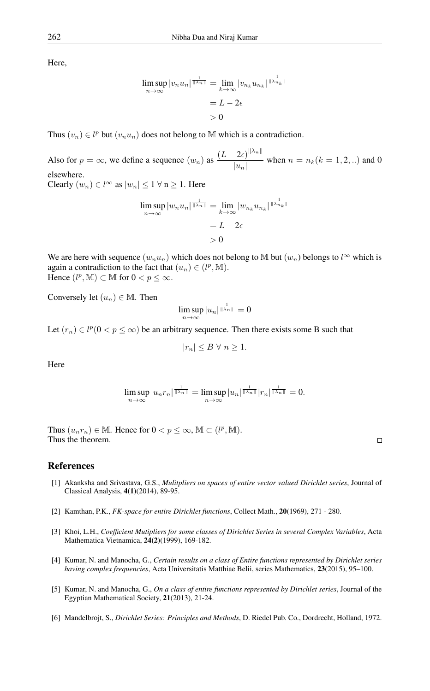Here,

$$
\limsup_{n \to \infty} |v_n u_n|^{\frac{1}{\|\lambda_n\|}} = \lim_{k \to \infty} |v_{n_k} u_{n_k}|^{\frac{1}{\|\lambda_{n_k}\|}}
$$

$$
= L - 2\epsilon
$$

$$
> 0
$$

Thus  $(v_n) \in l^p$  but  $(v_n u_n)$  does not belong to M which is a contradiction.

Also for  $p = \infty$ , we define a sequence  $(w_n)$  as  $\frac{(L - 2\epsilon)^{||\lambda_n||}}{||w||}$  $\frac{2c}{|u_n|}$  when  $n = n_k(k = 1, 2, ...)$  and 0 elsewhere.

Clearly  $(w_n) \in l^{\infty}$  as  $|w_n| \leq 1 \forall n > 1$ . Here

$$
\limsup_{n \to \infty} |w_n u_n|^{\frac{1}{\|\lambda_n\|}} = \lim_{k \to \infty} |w_{n_k} u_{n_k}|^{\frac{1}{\|\lambda_{n_k}\|}}
$$

$$
= L - 2\epsilon
$$

$$
> 0
$$

We are here with sequence  $(w_nu_n)$  which does not belong to M but  $(w_n)$  belongs to  $l^{\infty}$  which is again a contradiction to the fact that  $(u_n) \in (l^p, M)$ . Hence  $(l^p, M) \subset M$  for  $0 < p \leq \infty$ .

Conversely let  $(u_n) \in \mathbb{M}$ . Then

$$
\limsup_{n\to\infty} |u_n|^{\frac{1}{\|\lambda_n\|}} = 0
$$

Let  $(r_n) \in l^p(0 < p \leq \infty)$  be an arbitrary sequence. Then there exists some B such that

$$
|r_n| \le B \ \forall \ n \ge 1.
$$

Here

$$
\limsup_{n\to\infty} |u_n r_n|^{\frac{1}{\|\lambda_n\|}} = \limsup_{n\to\infty} |u_n|^{\frac{1}{\|\lambda_n\|}} |r_n|^{\frac{1}{\|\lambda_n\|}} = 0.
$$

Thus  $(u_n r_n) \in \mathbb{M}$ . Hence for  $0 < p \leq \infty$ ,  $\mathbb{M} \subset (l^p, \mathbb{M})$ . Thus the theorem.

#### <span id="page-6-0"></span>References

- <span id="page-6-4"></span>[1] Akanksha and Srivastava, G.S., *Mulitpliers on spaces of entire vector valued Dirichlet series*, Journal of Classical Analysis, 4(1)(2014), 89-95.
- <span id="page-6-2"></span>[2] Kamthan, P.K., *FK-space for entire Dirichlet functions*, Collect Math., 20(1969), 271 - 280.
- <span id="page-6-5"></span>[3] Khoi, L.H., *Coefficient Mutipliers for some classes of Dirichlet Series in several Complex Variables*, Acta Mathematica Vietnamica, 24(2)(1999), 169-182.
- <span id="page-6-6"></span>[4] Kumar, N. and Manocha, G., *Certain results on a class of Entire functions represented by Dirichlet series having complex frequencies*, Acta Universitatis Matthiae Belii, series Mathematics, 23(2015), 95–100.
- <span id="page-6-3"></span>[5] Kumar, N. and Manocha, G., *On a class of entire functions represented by Dirichlet series*, Journal of the Egyptian Mathematical Society, 21(2013), 21-24.
- <span id="page-6-1"></span>[6] Mandelbrojt, S., *Dirichlet Series: Principles and Methods*, D. Riedel Pub. Co., Dordrecht, Holland, 1972.

 $\Box$